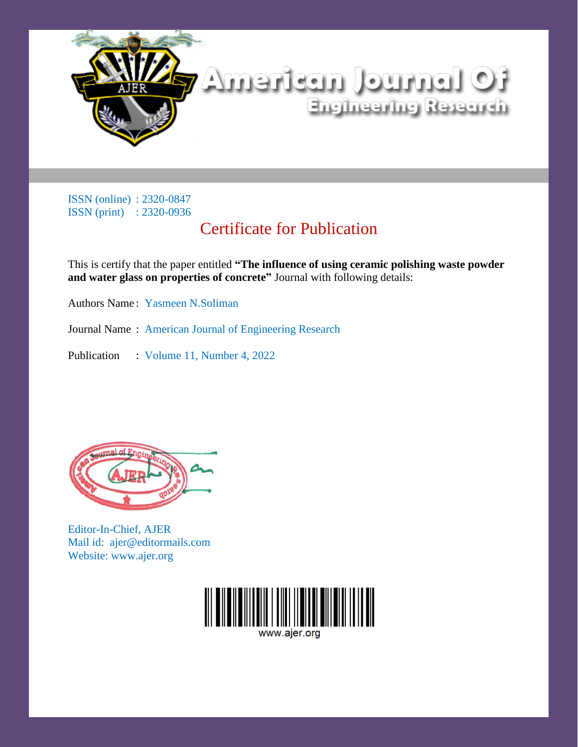

## Certificate for Publication

This is certify that the paper entitled **"The influence of using ceramic polishing waste powder and water glass on properties of concrete"** Journal with following details:

Authors Name : Yasmeen N.Soliman

Journal Name : American Journal of Engineering Research

Publication : Volume 11, Number 4, 2022



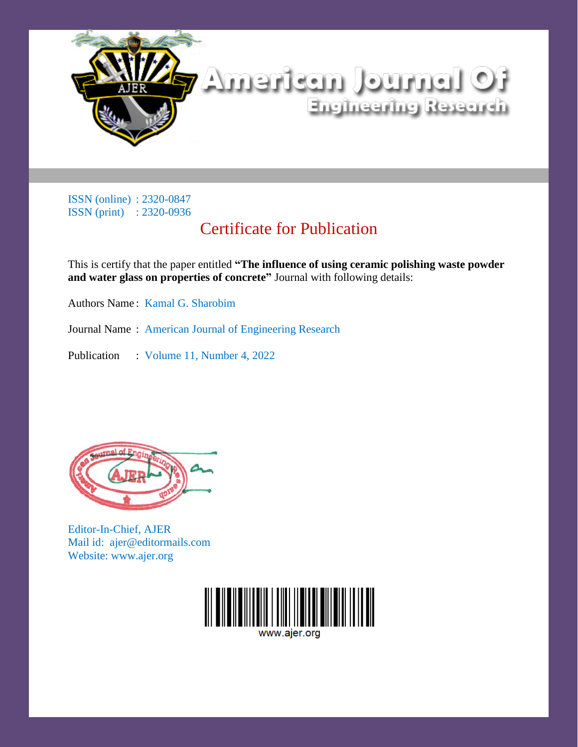

# Certificate for Publication

This is certify that the paper entitled **"The influence of using ceramic polishing waste powder and water glass on properties of concrete"** Journal with following details:

Authors Name : Kamal G. Sharobim

Journal Name : American Journal of Engineering Research

Publication : Volume 11, Number 4, 2022



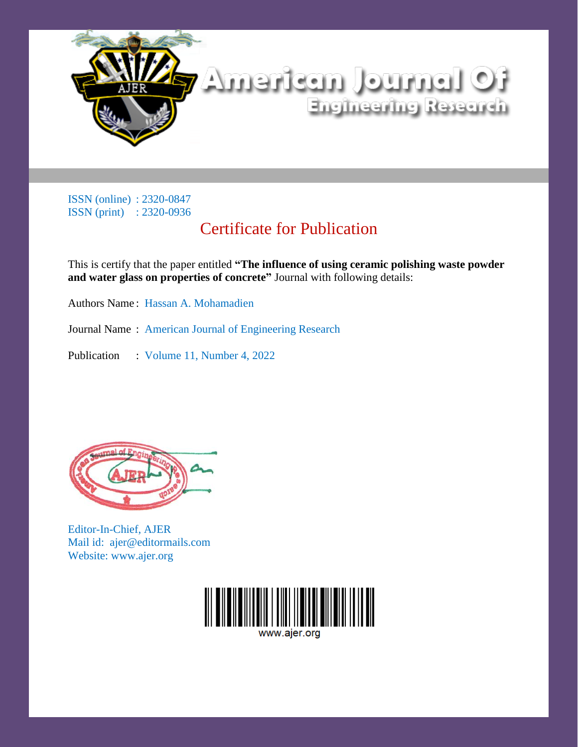

## Certificate for Publication

This is certify that the paper entitled **"The influence of using ceramic polishing waste powder and water glass on properties of concrete"** Journal with following details:

Authors Name : Hassan A. Mohamadien

Journal Name : American Journal of Engineering Research

Publication : Volume 11, Number 4, 2022



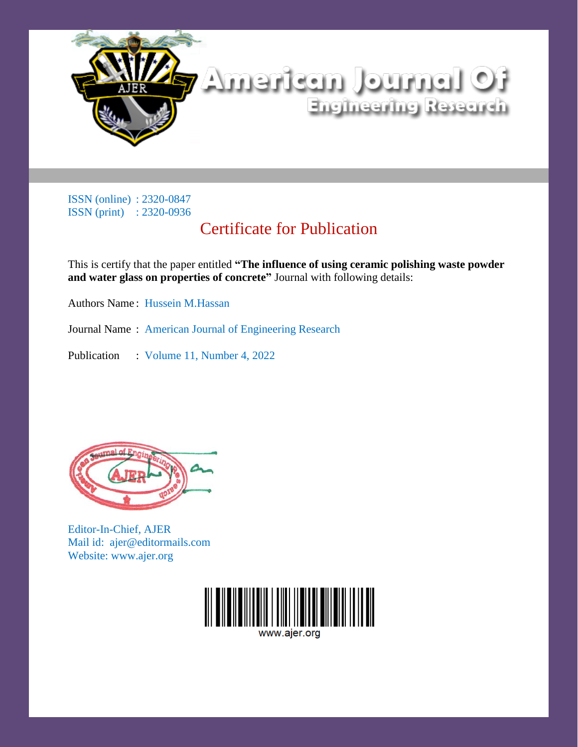

# Certificate for Publication

This is certify that the paper entitled **"The influence of using ceramic polishing waste powder and water glass on properties of concrete"** Journal with following details:

Authors Name : Hussein M.Hassan

Journal Name : American Journal of Engineering Research

Publication : Volume 11, Number 4, 2022